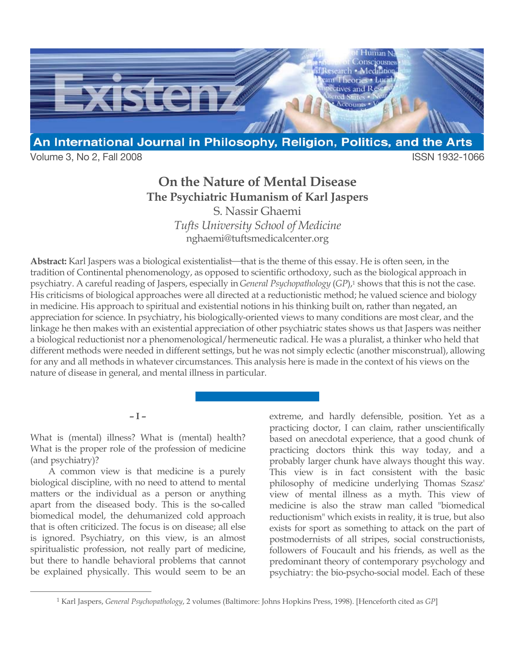

Volume 3, No 2, Fall 2008 **ISSN 1932-1066** 

## **On the Nature of Mental Disease The Psychiatric Humanism of Karl Jaspers**

S. Nassir Ghaemi *Tufts University School of Medicine* nghaemi@tuftsmedicalcenter.org

**Abstract:** Karl Jaspers was a biological existentialist—that is the theme of this essay. He is often seen, in the tradition of Continental phenomenology, as opposed to scientific orthodoxy, such as the biological approach in psychiatry. A careful reading of Jaspers, especially in *General Psychopathology* (*GP*),1 shows that this is not the case. His criticisms of biological approaches were all directed at a reductionistic method; he valued science and biology in medicine. His approach to spiritual and existential notions in his thinking built on, rather than negated, an appreciation for science. In psychiatry, his biologically-oriented views to many conditions are most clear, and the linkage he then makes with an existential appreciation of other psychiatric states shows us that Jaspers was neither a biological reductionist nor a phenomenological/hermeneutic radical. He was a pluralist, a thinker who held that different methods were needed in different settings, but he was not simply eclectic (another misconstrual), allowing for any and all methods in whatever circumstances. This analysis here is made in the context of his views on the nature of disease in general, and mental illness in particular.

**– I –**

What is (mental) illness? What is (mental) health? What is the proper role of the profession of medicine (and psychiatry)?

A common view is that medicine is a purely biological discipline, with no need to attend to mental matters or the individual as a person or anything apart from the diseased body. This is the so-called biomedical model, the dehumanized cold approach that is often criticized. The focus is on disease; all else is ignored. Psychiatry, on this view, is an almost spiritualistic profession, not really part of medicine, but there to handle behavioral problems that cannot be explained physically. This would seem to be an extreme, and hardly defensible, position. Yet as a practicing doctor, I can claim, rather unscientifically based on anecdotal experience, that a good chunk of practicing doctors think this way today, and a probably larger chunk have always thought this way. This view is in fact consistent with the basic philosophy of medicine underlying Thomas Szasz' view of mental illness as a myth. This view of medicine is also the straw man called "biomedical reductionism" which exists in reality, it is true, but also exists for sport as something to attack on the part of postmodernists of all stripes, social constructionists, followers of Foucault and his friends, as well as the predominant theory of contemporary psychology and psychiatry: the bio-psycho-social model. Each of these

 <sup>1</sup> Karl Jaspers, *General Psychopathology*, 2 volumes (Baltimore: Johns Hopkins Press, 1998). [Henceforth cited as *GP*]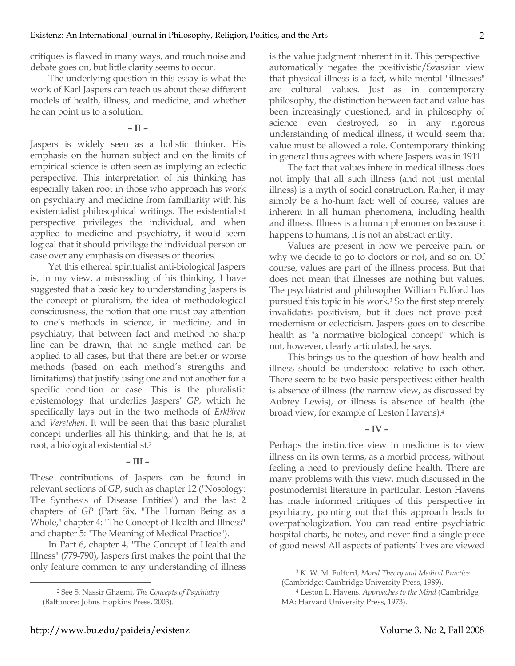critiques is flawed in many ways, and much noise and debate goes on, but little clarity seems to occur.

The underlying question in this essay is what the work of Karl Jaspers can teach us about these different models of health, illness, and medicine, and whether he can point us to a solution.

**– II –**

Jaspers is widely seen as a holistic thinker. His emphasis on the human subject and on the limits of empirical science is often seen as implying an eclectic perspective. This interpretation of his thinking has especially taken root in those who approach his work on psychiatry and medicine from familiarity with his existentialist philosophical writings. The existentialist perspective privileges the individual, and when applied to medicine and psychiatry, it would seem logical that it should privilege the individual person or case over any emphasis on diseases or theories.

Yet this ethereal spiritualist anti-biological Jaspers is, in my view, a misreading of his thinking. I have suggested that a basic key to understanding Jaspers is the concept of pluralism, the idea of methodological consciousness, the notion that one must pay attention to one's methods in science, in medicine, and in psychiatry, that between fact and method no sharp line can be drawn, that no single method can be applied to all cases, but that there are better or worse methods (based on each method's strengths and limitations) that justify using one and not another for a specific condition or case. This is the pluralistic epistemology that underlies Jaspers' *GP*, which he specifically lays out in the two methods of *Erklären* and *Verstehen*. It will be seen that this basic pluralist concept underlies all his thinking, and that he is, at root, a biological existentialist.2

## **– III –**

These contributions of Jaspers can be found in relevant sections of *GP*, such as chapter 12 ("Nosology: The Synthesis of Disease Entities") and the last 2 chapters of *GP* (Part Six, "The Human Being as a Whole," chapter 4: "The Concept of Health and Illness" and chapter 5: "The Meaning of Medical Practice").

In Part 6, chapter 4, "The Concept of Health and Illness" (779-790), Jaspers first makes the point that the only feature common to any understanding of illness is the value judgment inherent in it. This perspective automatically negates the positivistic/Szaszian view that physical illness is a fact, while mental "illnesses" are cultural values. Just as in contemporary philosophy, the distinction between fact and value has been increasingly questioned, and in philosophy of science even destroyed, so in any rigorous understanding of medical illness, it would seem that value must be allowed a role. Contemporary thinking in general thus agrees with where Jaspers was in 1911.

The fact that values inhere in medical illness does not imply that all such illness (and not just mental illness) is a myth of social construction. Rather, it may simply be a ho-hum fact: well of course, values are inherent in all human phenomena, including health and illness. Illness is a human phenomenon because it happens to humans, it is not an abstract entity.

Values are present in how we perceive pain, or why we decide to go to doctors or not, and so on. Of course, values are part of the illness process. But that does not mean that illnesses are nothing but values. The psychiatrist and philosopher William Fulford has pursued this topic in his work.3 So the first step merely invalidates positivism, but it does not prove postmodernism or eclecticism. Jaspers goes on to describe health as "a normative biological concept" which is not, however, clearly articulated, he says.

This brings us to the question of how health and illness should be understood relative to each other. There seem to be two basic perspectives: either health is absence of illness (the narrow view, as discussed by Aubrey Lewis), or illness is absence of health (the broad view, for example of Leston Havens).4

**– IV –**

Perhaps the instinctive view in medicine is to view illness on its own terms, as a morbid process, without feeling a need to previously define health. There are many problems with this view, much discussed in the postmodernist literature in particular. Leston Havens has made informed critiques of this perspective in psychiatry, pointing out that this approach leads to overpathologization. You can read entire psychiatric hospital charts, he notes, and never find a single piece of good news! All aspects of patients' lives are viewed

 <sup>2</sup> See S. Nassir Ghaemi, *The Concepts of Psychiatry* (Baltimore: Johns Hopkins Press, 2003).

 <sup>3</sup> K. W. M. Fulford, *Moral Theory and Medical Practice* (Cambridge: Cambridge University Press, 1989).

<sup>4</sup> Leston L. Havens, *Approaches to the Mind* (Cambridge, MA: Harvard University Press, 1973).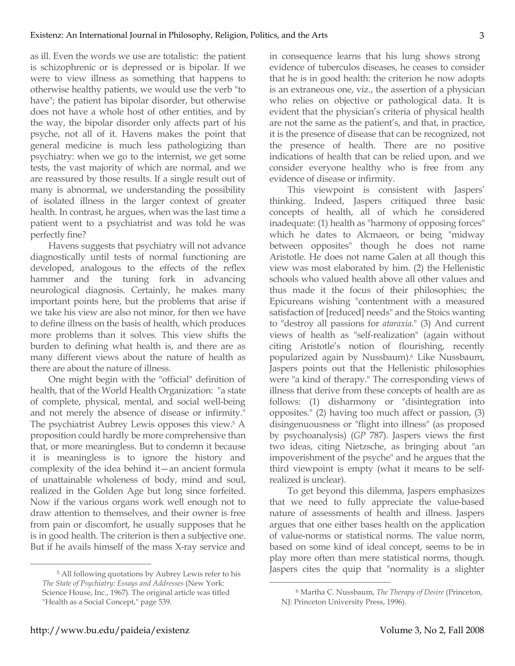as ill. Even the words we use are totalistic: the patient is schizophrenic or is depressed or is bipolar. If we were to view illness as something that happens to otherwise healthy patients, we would use the verb "to have"; the patient has bipolar disorder, but otherwise does not have a whole host of other entities, and by the way, the bipolar disorder only affects part of his psyche, not all of it. Havens makes the point that general medicine is much less pathologizing than psychiatry: when we go to the internist, we get some tests, the vast majority of which are normal, and we are reassured by those results. If a single result out of many is abnormal, we understanding the possibility of isolated illness in the larger context of greater health. In contrast, he argues, when was the last time a patient went to a psychiatrist and was told he was perfectly fine?

Havens suggests that psychiatry will not advance diagnostically until tests of normal functioning are developed, analogous to the effects of the reflex hammer and the tuning fork in advancing neurological diagnosis. Certainly, he makes many important points here, but the problems that arise if we take his view are also not minor, for then we have to define illness on the basis of health, which produces more problems than it solves. This view shifts the burden to defining what health is, and there are as many different views about the nature of health as there are about the nature of illness.

One might begin with the "official" definition of health, that of the World Health Organization: "a state of complete, physical, mental, and social well-being and not merely the absence of disease or infirmity." The psychiatrist Aubrey Lewis opposes this view.<sup>5</sup> A proposition could hardly be more comprehensive than that, or more meaningless. But to condemn it because it is meaningless is to ignore the history and complexity of the idea behind it—an ancient formula of unattainable wholeness of body, mind and soul, realized in the Golden Age but long since forfeited. Now if the various organs work well enough not to draw attention to themselves, and their owner is free from pain or discomfort, he usually supposes that he is in good health. The criterion is then a subjective one. But if he avails himself of the mass X-ray service and

 5 All following quotations by Aubrey Lewis refer to his *The State of Psychiatry: Essays and Addresses* (New York: Science House, Inc., 1967). The original article was titled "Health as a Social Concept," page 539.

in consequence learns that his lung shows strong evidence of tuberculos diseases, he ceases to consider that he is in good health: the criterion he now adopts is an extraneous one, viz., the assertion of a physician who relies on objective or pathological data. It is evident that the physician's criteria of physical health are not the same as the patient's, and that, in practice, it is the presence of disease that can be recognized, not the presence of health. There are no positive indications of health that can be relied upon, and we consider everyone healthy who is free from any evidence of disease or infirmity.

This viewpoint is consistent with Jaspers' thinking. Indeed, Jaspers critiqued three basic concepts of health, all of which he considered inadequate: (1) health as "harmony of opposing forces" which he dates to Alcmaeon, or being "midway between opposites" though he does not name Aristotle. He does not name Galen at all though this view was most elaborated by him. (2) the Hellenistic schools who valued health above all other values and thus made it the focus of their philosophies; the Epicureans wishing "contentment with a measured satisfaction of [reduced] needs" and the Stoics wanting to "destroy all passions for *ataraxia*." (3) And current views of health as "self-realization" (again without citing Aristotle's notion of flourishing, recently popularized again by Nussbaum).<sup>6</sup> Like Nussbaum, Jaspers points out that the Hellenistic philosophies were "a kind of therapy." The corresponding views of illness that derive from these concepts of health are as follows: (1) disharmony or "disintegration into opposites." (2) having too much affect or passion, (3) disingenuousness or "flight into illness" (as proposed by psychoanalysis) (*GP* 787). Jaspers views the first two ideas, citing Nietzsche, as bringing about "an impoverishment of the psyche" and he argues that the third viewpoint is empty (what it means to be selfrealized is unclear).

To get beyond this dilemma, Jaspers emphasizes that we need to fully appreciate the value-based nature of assessments of health and illness. Jaspers argues that one either bases health on the application of value-norms or statistical norms. The value norm, based on some kind of ideal concept, seems to be in play more often than mere statistical norms, though. Jaspers cites the quip that "normality is a slighter

 <sup>6</sup> Martha C. Nussbaum, *The Therapy of Desire* (Princeton, NJ: Princeton University Press, 1996).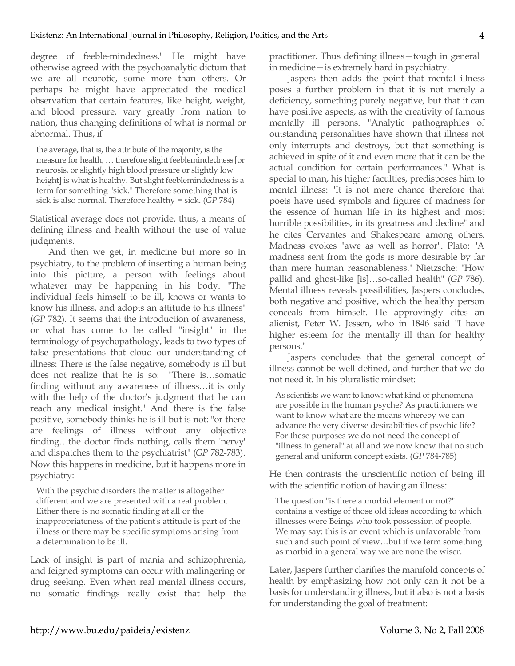degree of feeble-mindedness." He might have otherwise agreed with the psychoanalytic dictum that we are all neurotic, some more than others. Or perhaps he might have appreciated the medical observation that certain features, like height, weight, and blood pressure, vary greatly from nation to nation, thus changing definitions of what is normal or abnormal. Thus, if

the average, that is, the attribute of the majority, is the measure for health, … therefore slight feeblemindedness [or neurosis, or slightly high blood pressure or slightly low height] is what is healthy. But slight feeblemindedness is a term for something "sick." Therefore something that is sick is also normal. Therefore healthy = sick. (*GP* 784)

Statistical average does not provide, thus, a means of defining illness and health without the use of value judgments.

And then we get, in medicine but more so in psychiatry, to the problem of inserting a human being into this picture, a person with feelings about whatever may be happening in his body. "The individual feels himself to be ill, knows or wants to know his illness, and adopts an attitude to his illness" (*GP* 782). It seems that the introduction of awareness, or what has come to be called "insight" in the terminology of psychopathology, leads to two types of false presentations that cloud our understanding of illness: There is the false negative, somebody is ill but does not realize that he is so: "There is…somatic finding without any awareness of illness…it is only with the help of the doctor's judgment that he can reach any medical insight." And there is the false positive, somebody thinks he is ill but is not: "or there are feelings of illness without any objective finding…the doctor finds nothing, calls them 'nervy' and dispatches them to the psychiatrist" (*GP* 782-783). Now this happens in medicine, but it happens more in psychiatry:

With the psychic disorders the matter is altogether different and we are presented with a real problem. Either there is no somatic finding at all or the inappropriateness of the patient's attitude is part of the illness or there may be specific symptoms arising from a determination to be ill.

Lack of insight is part of mania and schizophrenia, and feigned symptoms can occur with malingering or drug seeking. Even when real mental illness occurs, no somatic findings really exist that help the practitioner. Thus defining illness—tough in general in medicine—is extremely hard in psychiatry.

Jaspers then adds the point that mental illness poses a further problem in that it is not merely a deficiency, something purely negative, but that it can have positive aspects, as with the creativity of famous mentally ill persons. "Analytic pathographies of outstanding personalities have shown that illness not only interrupts and destroys, but that something is achieved in spite of it and even more that it can be the actual condition for certain performances." What is special to man, his higher faculties, predisposes him to mental illness: "It is not mere chance therefore that poets have used symbols and figures of madness for the essence of human life in its highest and most horrible possibilities, in its greatness and decline" and he cites Cervantes and Shakespeare among others. Madness evokes "awe as well as horror". Plato: "A madness sent from the gods is more desirable by far than mere human reasonableness." Nietzsche: "How pallid and ghost-like [is]…so-called health" (*GP* 786). Mental illness reveals possibilities, Jaspers concludes, both negative and positive, which the healthy person conceals from himself. He approvingly cites an alienist, Peter W. Jessen, who in 1846 said "I have higher esteem for the mentally ill than for healthy persons."

Jaspers concludes that the general concept of illness cannot be well defined, and further that we do not need it. In his pluralistic mindset:

As scientists we want to know: what kind of phenomena are possible in the human psyche? As practitioners we want to know what are the means whereby we can advance the very diverse desirabilities of psychic life? For these purposes we do not need the concept of "illness in general" at all and we now know that no such general and uniform concept exists. (*GP* 784-785)

He then contrasts the unscientific notion of being ill with the scientific notion of having an illness:

The question "is there a morbid element or not?" contains a vestige of those old ideas according to which illnesses were Beings who took possession of people. We may say: this is an event which is unfavorable from such and such point of view…but if we term something as morbid in a general way we are none the wiser.

Later, Jaspers further clarifies the manifold concepts of health by emphasizing how not only can it not be a basis for understanding illness, but it also is not a basis for understanding the goal of treatment: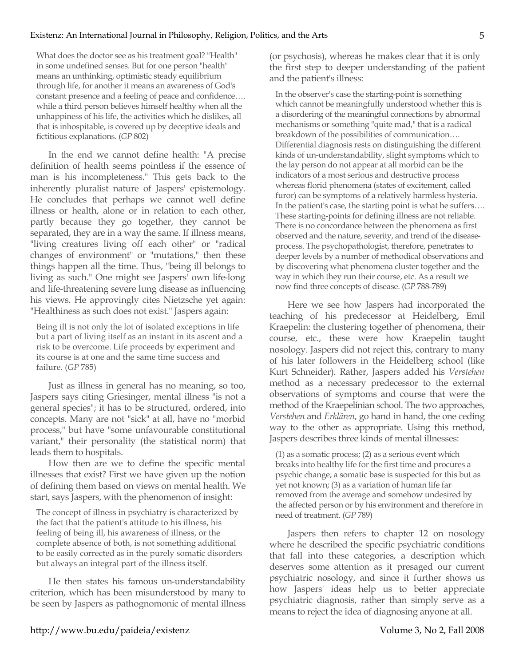What does the doctor see as his treatment goal? "Health" in some undefined senses. But for one person "health" means an unthinking, optimistic steady equilibrium through life, for another it means an awareness of God's constant presence and a feeling of peace and confidence…. while a third person believes himself healthy when all the unhappiness of his life, the activities which he dislikes, all that is inhospitable, is covered up by deceptive ideals and fictitious explanations. (*GP* 802)

In the end we cannot define health: "A precise definition of health seems pointless if the essence of man is his incompleteness." This gets back to the inherently pluralist nature of Jaspers' epistemology. He concludes that perhaps we cannot well define illness or health, alone or in relation to each other, partly because they go together, they cannot be separated, they are in a way the same. If illness means, "living creatures living off each other" or "radical changes of environment" or "mutations," then these things happen all the time. Thus, "being ill belongs to living as such." One might see Jaspers' own life-long and life-threatening severe lung disease as influencing his views. He approvingly cites Nietzsche yet again: "Healthiness as such does not exist." Jaspers again:

Being ill is not only the lot of isolated exceptions in life but a part of living itself as an instant in its ascent and a risk to be overcome. Life proceeds by experiment and its course is at one and the same time success and failure. (*GP* 785)

Just as illness in general has no meaning, so too, Jaspers says citing Griesinger, mental illness "is not a general species"; it has to be structured, ordered, into concepts. Many are not "sick" at all, have no "morbid process," but have "some unfavourable constitutional variant," their personality (the statistical norm) that leads them to hospitals.

How then are we to define the specific mental illnesses that exist? First we have given up the notion of defining them based on views on mental health. We start, says Jaspers, with the phenomenon of insight:

The concept of illness in psychiatry is characterized by the fact that the patient's attitude to his illness, his feeling of being ill, his awareness of illness, or the complete absence of both, is not something additional to be easily corrected as in the purely somatic disorders but always an integral part of the illness itself.

He then states his famous un-understandability criterion, which has been misunderstood by many to be seen by Jaspers as pathognomonic of mental illness (or psychosis), whereas he makes clear that it is only the first step to deeper understanding of the patient and the patient's illness:

In the observer's case the starting-point is something which cannot be meaningfully understood whether this is a disordering of the meaningful connections by abnormal mechanisms or something "quite mad," that is a radical breakdown of the possibilities of communication…. Differential diagnosis rests on distinguishing the different kinds of un-understandability, slight symptoms which to the lay person do not appear at all morbid can be the indicators of a most serious and destructive process whereas florid phenomena (states of excitement, called furor) can be symptoms of a relatively harmless hysteria. In the patient's case, the starting point is what he suffers…. These starting-points for defining illness are not reliable. There is no concordance between the phenomena as first observed and the nature, severity, and trend of the diseaseprocess. The psychopathologist, therefore, penetrates to deeper levels by a number of methodical observations and by discovering what phenomena cluster together and the way in which they run their course, etc. As a result we now find three concepts of disease. (*GP* 788-789)

Here we see how Jaspers had incorporated the teaching of his predecessor at Heidelberg, Emil Kraepelin: the clustering together of phenomena, their course, etc., these were how Kraepelin taught nosology. Jaspers did not reject this, contrary to many of his later followers in the Heidelberg school (like Kurt Schneider). Rather, Jaspers added his *Verstehen* method as a necessary predecessor to the external observations of symptoms and course that were the method of the Kraepelinian school. The two approaches, *Verstehen* and *Erklären*, go hand in hand, the one ceding way to the other as appropriate. Using this method, Jaspers describes three kinds of mental illnesses:

(1) as a somatic process; (2) as a serious event which breaks into healthy life for the first time and procures a psychic change; a somatic base is suspected for this but as yet not known; (3) as a variation of human life far removed from the average and somehow undesired by the affected person or by his environment and therefore in need of treatment. (*GP* 789)

Jaspers then refers to chapter 12 on nosology where he described the specific psychiatric conditions that fall into these categories, a description which deserves some attention as it presaged our current psychiatric nosology, and since it further shows us how Jaspers' ideas help us to better appreciate psychiatric diagnosis, rather than simply serve as a means to reject the idea of diagnosing anyone at all.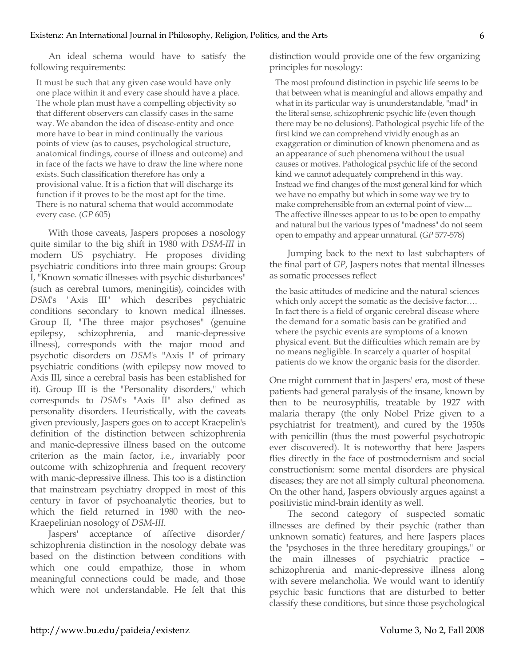An ideal schema would have to satisfy the following requirements:

It must be such that any given case would have only one place within it and every case should have a place. The whole plan must have a compelling objectivity so that different observers can classify cases in the same way. We abandon the idea of disease-entity and once more have to bear in mind continually the various points of view (as to causes, psychological structure, anatomical findings, course of illness and outcome) and in face of the facts we have to draw the line where none exists. Such classification therefore has only a provisional value. It is a fiction that will discharge its function if it proves to be the most apt for the time. There is no natural schema that would accommodate every case. (*GP* 605)

With those caveats, Jaspers proposes a nosology quite similar to the big shift in 1980 with *DSM-III* in modern US psychiatry. He proposes dividing psychiatric conditions into three main groups: Group I, "Known somatic illnesses with psychic disturbances" (such as cerebral tumors, meningitis), coincides with *DSM*'s "Axis III" which describes psychiatric conditions secondary to known medical illnesses. Group II, "The three major psychoses" (genuine epilepsy, schizophrenia, and manic-depressive illness), corresponds with the major mood and psychotic disorders on *DSM*'s "Axis I" of primary psychiatric conditions (with epilepsy now moved to Axis III, since a cerebral basis has been established for it). Group III is the "Personality disorders," which corresponds to *DSM*'s "Axis II" also defined as personality disorders. Heuristically, with the caveats given previously, Jaspers goes on to accept Kraepelin's definition of the distinction between schizophrenia and manic-depressive illness based on the outcome criterion as the main factor, i.e., invariably poor outcome with schizophrenia and frequent recovery with manic-depressive illness. This too is a distinction that mainstream psychiatry dropped in most of this century in favor of psychoanalytic theories, but to which the field returned in 1980 with the neo-Kraepelinian nosology of *DSM-III*.

Jaspers' acceptance of affective disorder/ schizophrenia distinction in the nosology debate was based on the distinction between conditions with which one could empathize, those in whom meaningful connections could be made, and those which were not understandable. He felt that this

distinction would provide one of the few organizing principles for nosology:

The most profound distinction in psychic life seems to be that between what is meaningful and allows empathy and what in its particular way is ununderstandable, "mad" in the literal sense, schizophrenic psychic life (even though there may be no delusions). Pathological psychic life of the first kind we can comprehend vividly enough as an exaggeration or diminution of known phenomena and as an appearance of such phenomena without the usual causes or motives. Pathological psychic life of the second kind we cannot adequately comprehend in this way. Instead we find changes of the most general kind for which we have no empathy but which in some way we try to make comprehensible from an external point of view.... The affective illnesses appear to us to be open to empathy and natural but the various types of "madness" do not seem open to empathy and appear unnatural. (*GP* 577-578)

Jumping back to the next to last subchapters of the final part of *GP*, Jaspers notes that mental illnesses as somatic processes reflect

the basic attitudes of medicine and the natural sciences which only accept the somatic as the decisive factor…. In fact there is a field of organic cerebral disease where the demand for a somatic basis can be gratified and where the psychic events are symptoms of a known physical event. But the difficulties which remain are by no means negligible. In scarcely a quarter of hospital patients do we know the organic basis for the disorder.

One might comment that in Jaspers' era, most of these patients had general paralysis of the insane, known by then to be neurosyphilis, treatable by 1927 with malaria therapy (the only Nobel Prize given to a psychiatrist for treatment), and cured by the 1950s with penicillin (thus the most powerful psychotropic ever discovered). It is noteworthy that here Jaspers flies directly in the face of postmodernism and social constructionism: some mental disorders are physical diseases; they are not all simply cultural pheonomena. On the other hand, Jaspers obviously argues against a positivistic mind-brain identity as well.

The second category of suspected somatic illnesses are defined by their psychic (rather than unknown somatic) features, and here Jaspers places the "psychoses in the three hereditary groupings," or the main illnesses of psychiatric practice – schizophrenia and manic-depressive illness along with severe melancholia. We would want to identify psychic basic functions that are disturbed to better classify these conditions, but since those psychological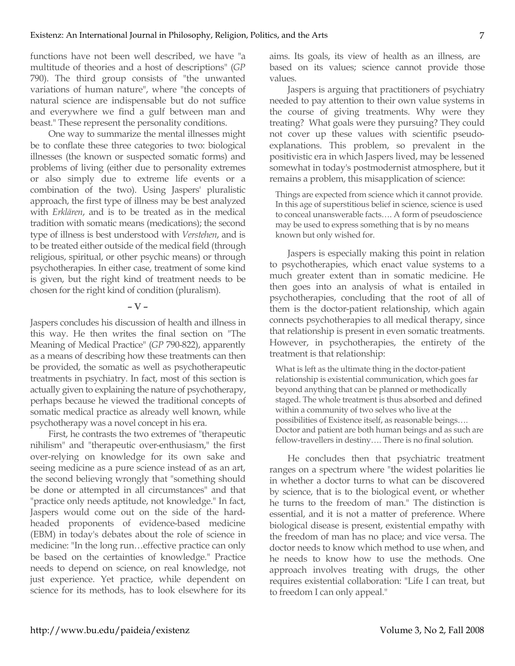functions have not been well described, we have "a multitude of theories and a host of descriptions" (*GP* 790). The third group consists of "the unwanted variations of human nature", where "the concepts of natural science are indispensable but do not suffice and everywhere we find a gulf between man and beast." These represent the personality conditions.

One way to summarize the mental illnesses might be to conflate these three categories to two: biological illnesses (the known or suspected somatic forms) and problems of living (either due to personality extremes or also simply due to extreme life events or a combination of the two). Using Jaspers' pluralistic approach, the first type of illness may be best analyzed with *Erklären*, and is to be treated as in the medical tradition with somatic means (medications); the second type of illness is best understood with *Verstehen*, and is to be treated either outside of the medical field (through religious, spiritual, or other psychic means) or through psychotherapies. In either case, treatment of some kind is given, but the right kind of treatment needs to be chosen for the right kind of condition (pluralism).

**– V –**

Jaspers concludes his discussion of health and illness in this way. He then writes the final section on "The Meaning of Medical Practice" (*GP* 790-822), apparently as a means of describing how these treatments can then be provided, the somatic as well as psychotherapeutic treatments in psychiatry. In fact, most of this section is actually given to explaining the nature of psychotherapy, perhaps because he viewed the traditional concepts of somatic medical practice as already well known, while psychotherapy was a novel concept in his era.

First, he contrasts the two extremes of "therapeutic nihilism" and "therapeutic over-enthusiasm," the first over-relying on knowledge for its own sake and seeing medicine as a pure science instead of as an art, the second believing wrongly that "something should be done or attempted in all circumstances" and that "practice only needs aptitude, not knowledge." In fact, Jaspers would come out on the side of the hardheaded proponents of evidence-based medicine (EBM) in today's debates about the role of science in medicine: "In the long run…effective practice can only be based on the certainties of knowledge." Practice needs to depend on science, on real knowledge, not just experience. Yet practice, while dependent on science for its methods, has to look elsewhere for its

aims. Its goals, its view of health as an illness, are based on its values; science cannot provide those values.

Jaspers is arguing that practitioners of psychiatry needed to pay attention to their own value systems in the course of giving treatments. Why were they treating? What goals were they pursuing? They could not cover up these values with scientific pseudoexplanations. This problem, so prevalent in the positivistic era in which Jaspers lived, may be lessened somewhat in today's postmodernist atmosphere, but it remains a problem, this misapplication of science:

Things are expected from science which it cannot provide. In this age of superstitious belief in science, science is used to conceal unanswerable facts…. A form of pseudoscience may be used to express something that is by no means known but only wished for.

Jaspers is especially making this point in relation to psychotherapies, which enact value systems to a much greater extent than in somatic medicine. He then goes into an analysis of what is entailed in psychotherapies, concluding that the root of all of them is the doctor-patient relationship, which again connects psychotherapies to all medical therapy, since that relationship is present in even somatic treatments. However, in psychotherapies, the entirety of the treatment is that relationship:

What is left as the ultimate thing in the doctor-patient relationship is existential communication, which goes far beyond anything that can be planned or methodically staged. The whole treatment is thus absorbed and defined within a community of two selves who live at the possibilities of Existence itself, as reasonable beings…. Doctor and patient are both human beings and as such are fellow-travellers in destiny…. There is no final solution.

He concludes then that psychiatric treatment ranges on a spectrum where "the widest polarities lie in whether a doctor turns to what can be discovered by science, that is to the biological event, or whether he turns to the freedom of man." The distinction is essential, and it is not a matter of preference. Where biological disease is present, existential empathy with the freedom of man has no place; and vice versa. The doctor needs to know which method to use when, and he needs to know how to use the methods. One approach involves treating with drugs, the other requires existential collaboration: "Life I can treat, but to freedom I can only appeal."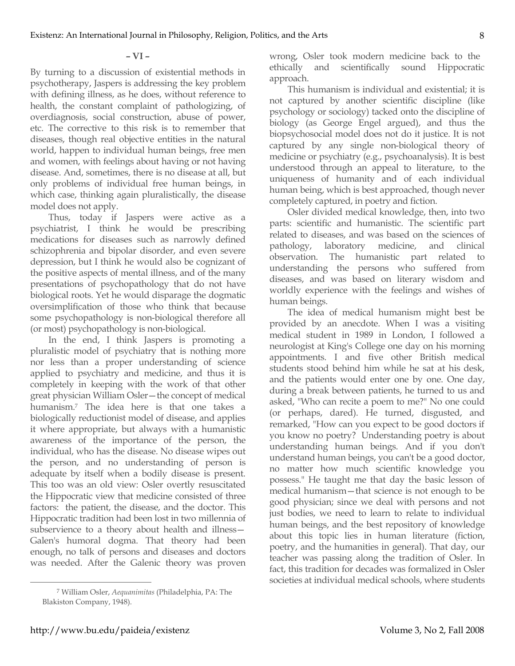## **– VI –**

By turning to a discussion of existential methods in psychotherapy, Jaspers is addressing the key problem with defining illness, as he does, without reference to health, the constant complaint of pathologizing, of overdiagnosis, social construction, abuse of power, etc. The corrective to this risk is to remember that diseases, though real objective entities in the natural world, happen to individual human beings, free men and women, with feelings about having or not having disease. And, sometimes, there is no disease at all, but only problems of individual free human beings, in which case, thinking again pluralistically, the disease model does not apply.

Thus, today if Jaspers were active as a psychiatrist, I think he would be prescribing medications for diseases such as narrowly defined schizophrenia and bipolar disorder, and even severe depression, but I think he would also be cognizant of the positive aspects of mental illness, and of the many presentations of psychopathology that do not have biological roots. Yet he would disparage the dogmatic oversimplification of those who think that because some psychopathology is non-biological therefore all (or most) psychopathology is non-biological.

In the end, I think Jaspers is promoting a pluralistic model of psychiatry that is nothing more nor less than a proper understanding of science applied to psychiatry and medicine, and thus it is completely in keeping with the work of that other great physician William Osler—the concept of medical humanism.7 The idea here is that one takes a biologically reductionist model of disease, and applies it where appropriate, but always with a humanistic awareness of the importance of the person, the individual, who has the disease. No disease wipes out the person, and no understanding of person is adequate by itself when a bodily disease is present. This too was an old view: Osler overtly resuscitated the Hippocratic view that medicine consisted of three factors: the patient, the disease, and the doctor. This Hippocratic tradition had been lost in two millennia of subservience to a theory about health and illness— Galen's humoral dogma. That theory had been enough, no talk of persons and diseases and doctors was needed. After the Galenic theory was proven wrong, Osler took modern medicine back to the ethically and scientifically sound Hippocratic approach.

This humanism is individual and existential; it is not captured by another scientific discipline (like psychology or sociology) tacked onto the discipline of biology (as George Engel argued), and thus the biopsychosocial model does not do it justice. It is not captured by any single non-biological theory of medicine or psychiatry (e.g., psychoanalysis). It is best understood through an appeal to literature, to the uniqueness of humanity and of each individual human being, which is best approached, though never completely captured, in poetry and fiction.

Osler divided medical knowledge, then, into two parts: scientific and humanistic. The scientific part related to diseases, and was based on the sciences of pathology, laboratory medicine, and clinical observation. The humanistic part related to understanding the persons who suffered from diseases, and was based on literary wisdom and worldly experience with the feelings and wishes of human beings.

The idea of medical humanism might best be provided by an anecdote. When I was a visiting medical student in 1989 in London, I followed a neurologist at King's College one day on his morning appointments. I and five other British medical students stood behind him while he sat at his desk, and the patients would enter one by one. One day, during a break between patients, he turned to us and asked, "Who can recite a poem to me?" No one could (or perhaps, dared). He turned, disgusted, and remarked, "How can you expect to be good doctors if you know no poetry? Understanding poetry is about understanding human beings. And if you don't understand human beings, you can't be a good doctor, no matter how much scientific knowledge you possess." He taught me that day the basic lesson of medical humanism—that science is not enough to be good physician; since we deal with persons and not just bodies, we need to learn to relate to individual human beings, and the best repository of knowledge about this topic lies in human literature (fiction, poetry, and the humanities in general). That day, our teacher was passing along the tradition of Osler. In fact, this tradition for decades was formalized in Osler societies at individual medical schools, where students

 <sup>7</sup> William Osler, *Aequanimitas* (Philadelphia, PA: The Blakiston Company, 1948).